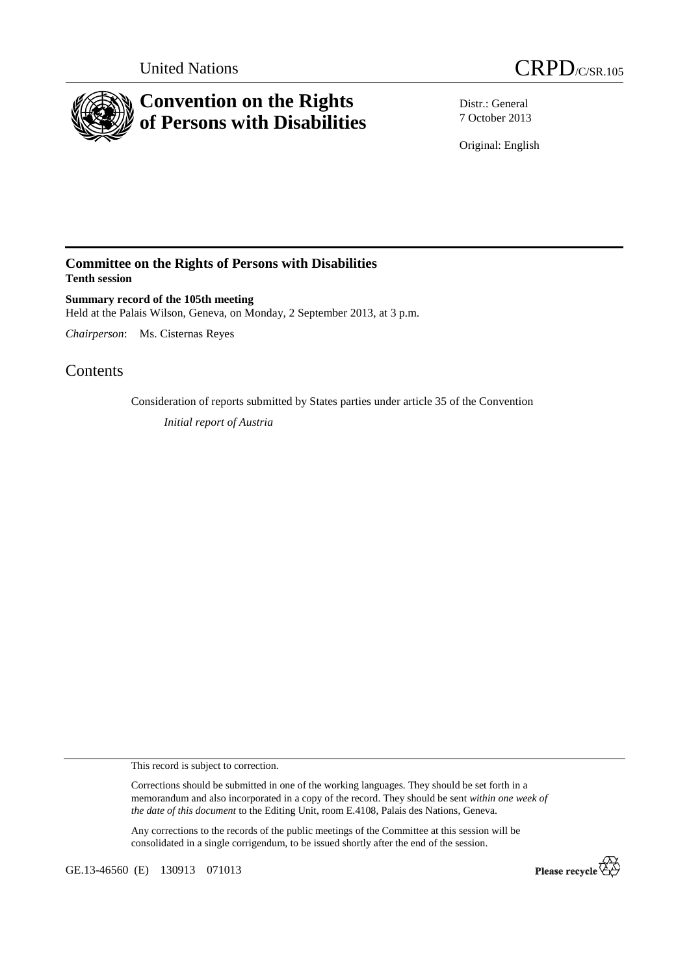



Distr.: General 7 October 2013

Original: English

## **Committee on the Rights of Persons with Disabilities Tenth session**

**Summary record of the 105th meeting**  Held at the Palais Wilson, Geneva, on Monday, 2 September 2013, at 3 p.m.

*Chairperson*: Ms. Cisternas Reyes

# **Contents**

Consideration of reports submitted by States parties under article 35 of the Convention *Initial report of Austria*

This record is subject to correction.

Corrections should be submitted in one of the working languages. They should be set forth in a memorandum and also incorporated in a copy of the record. They should be sent *within one week of the date of this document* to the Editing Unit, room E.4108, Palais des Nations, Geneva.

Any corrections to the records of the public meetings of the Committee at this session will be consolidated in a single corrigendum, to be issued shortly after the end of the session.

GE.13-46560 (E) 130913 071013

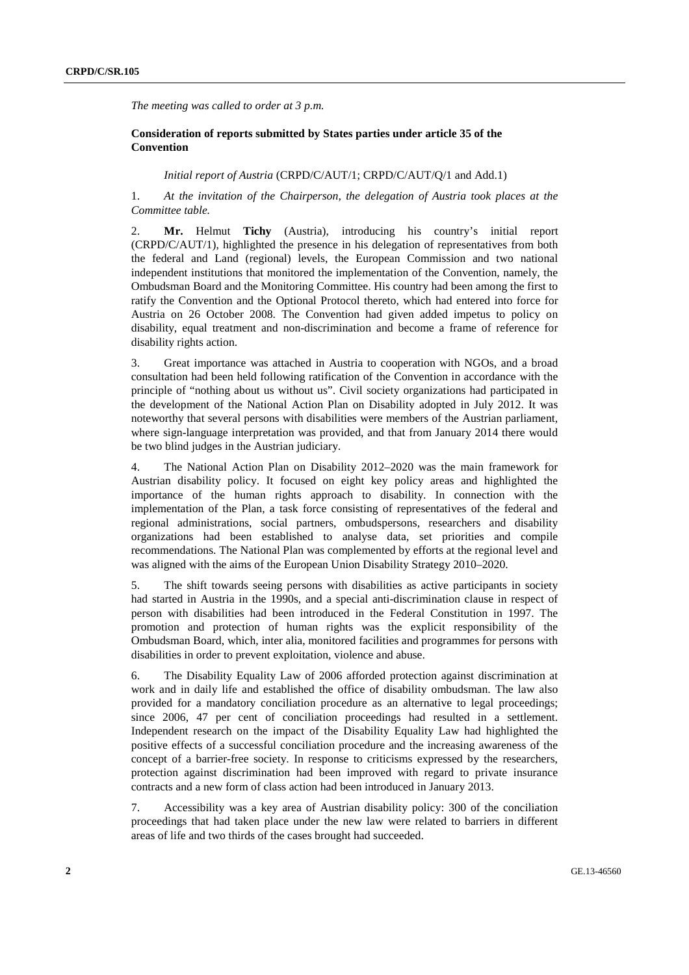*The meeting was called to order at 3 p.m.* 

## **Consideration of reports submitted by States parties under article 35 of the Convention**

### *Initial report of Austria* (CRPD/C/AUT/1; CRPD/C/AUT/Q/1 and Add.1)

1. *At the invitation of the Chairperson, the delegation of Austria took places at the Committee table.* 

2. **Mr.** Helmut **Tichy** (Austria), introducing his country's initial report (CRPD/C/AUT/1), highlighted the presence in his delegation of representatives from both the federal and Land (regional) levels, the European Commission and two national independent institutions that monitored the implementation of the Convention, namely, the Ombudsman Board and the Monitoring Committee. His country had been among the first to ratify the Convention and the Optional Protocol thereto, which had entered into force for Austria on 26 October 2008. The Convention had given added impetus to policy on disability, equal treatment and non-discrimination and become a frame of reference for disability rights action.

3. Great importance was attached in Austria to cooperation with NGOs, and a broad consultation had been held following ratification of the Convention in accordance with the principle of "nothing about us without us". Civil society organizations had participated in the development of the National Action Plan on Disability adopted in July 2012. It was noteworthy that several persons with disabilities were members of the Austrian parliament, where sign-language interpretation was provided, and that from January 2014 there would be two blind judges in the Austrian judiciary.

4. The National Action Plan on Disability 2012–2020 was the main framework for Austrian disability policy. It focused on eight key policy areas and highlighted the importance of the human rights approach to disability. In connection with the implementation of the Plan, a task force consisting of representatives of the federal and regional administrations, social partners, ombudspersons, researchers and disability organizations had been established to analyse data, set priorities and compile recommendations. The National Plan was complemented by efforts at the regional level and was aligned with the aims of the European Union Disability Strategy 2010–2020.

5. The shift towards seeing persons with disabilities as active participants in society had started in Austria in the 1990s, and a special anti-discrimination clause in respect of person with disabilities had been introduced in the Federal Constitution in 1997. The promotion and protection of human rights was the explicit responsibility of the Ombudsman Board, which, inter alia, monitored facilities and programmes for persons with disabilities in order to prevent exploitation, violence and abuse.

6. The Disability Equality Law of 2006 afforded protection against discrimination at work and in daily life and established the office of disability ombudsman. The law also provided for a mandatory conciliation procedure as an alternative to legal proceedings; since 2006, 47 per cent of conciliation proceedings had resulted in a settlement. Independent research on the impact of the Disability Equality Law had highlighted the positive effects of a successful conciliation procedure and the increasing awareness of the concept of a barrier-free society. In response to criticisms expressed by the researchers, protection against discrimination had been improved with regard to private insurance contracts and a new form of class action had been introduced in January 2013.

7. Accessibility was a key area of Austrian disability policy: 300 of the conciliation proceedings that had taken place under the new law were related to barriers in different areas of life and two thirds of the cases brought had succeeded.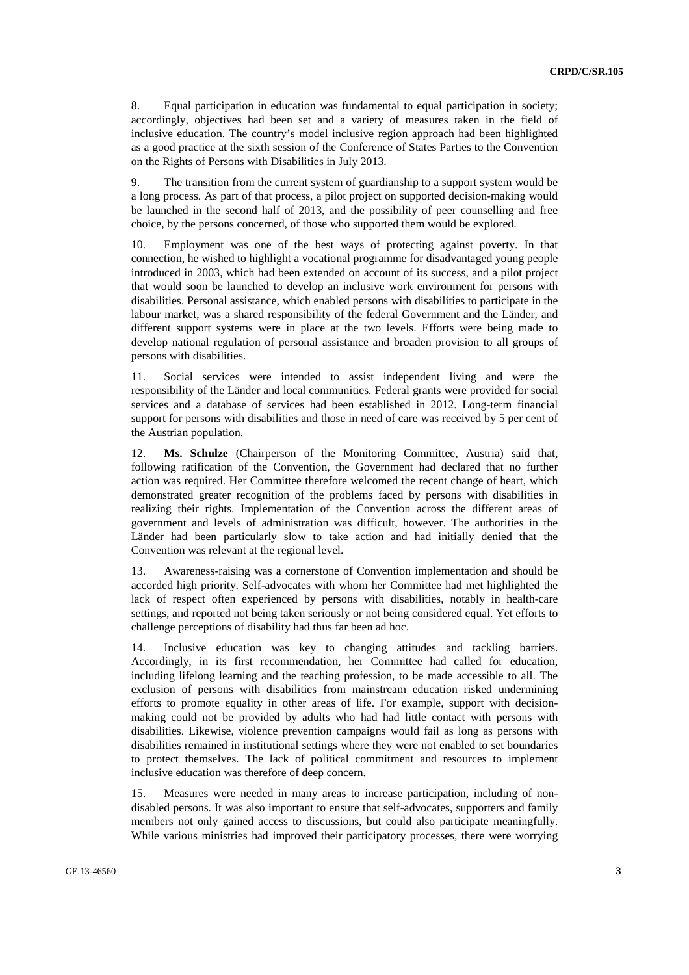8. Equal participation in education was fundamental to equal participation in society; accordingly, objectives had been set and a variety of measures taken in the field of inclusive education. The country's model inclusive region approach had been highlighted as a good practice at the sixth session of the Conference of States Parties to the Convention on the Rights of Persons with Disabilities in July 2013.

9. The transition from the current system of guardianship to a support system would be a long process. As part of that process, a pilot project on supported decision-making would be launched in the second half of 2013, and the possibility of peer counselling and free choice, by the persons concerned, of those who supported them would be explored.

10. Employment was one of the best ways of protecting against poverty. In that connection, he wished to highlight a vocational programme for disadvantaged young people introduced in 2003, which had been extended on account of its success, and a pilot project that would soon be launched to develop an inclusive work environment for persons with disabilities. Personal assistance, which enabled persons with disabilities to participate in the labour market, was a shared responsibility of the federal Government and the Länder, and different support systems were in place at the two levels. Efforts were being made to develop national regulation of personal assistance and broaden provision to all groups of persons with disabilities.

11. Social services were intended to assist independent living and were the responsibility of the Länder and local communities. Federal grants were provided for social services and a database of services had been established in 2012. Long-term financial support for persons with disabilities and those in need of care was received by 5 per cent of the Austrian population.

12. **Ms. Schulze** (Chairperson of the Monitoring Committee, Austria) said that, following ratification of the Convention, the Government had declared that no further action was required. Her Committee therefore welcomed the recent change of heart, which demonstrated greater recognition of the problems faced by persons with disabilities in realizing their rights. Implementation of the Convention across the different areas of government and levels of administration was difficult, however. The authorities in the Länder had been particularly slow to take action and had initially denied that the Convention was relevant at the regional level.

13. Awareness-raising was a cornerstone of Convention implementation and should be accorded high priority. Self-advocates with whom her Committee had met highlighted the lack of respect often experienced by persons with disabilities, notably in health-care settings, and reported not being taken seriously or not being considered equal. Yet efforts to challenge perceptions of disability had thus far been ad hoc.

14. Inclusive education was key to changing attitudes and tackling barriers. Accordingly, in its first recommendation, her Committee had called for education, including lifelong learning and the teaching profession, to be made accessible to all. The exclusion of persons with disabilities from mainstream education risked undermining efforts to promote equality in other areas of life. For example, support with decisionmaking could not be provided by adults who had had little contact with persons with disabilities. Likewise, violence prevention campaigns would fail as long as persons with disabilities remained in institutional settings where they were not enabled to set boundaries to protect themselves. The lack of political commitment and resources to implement inclusive education was therefore of deep concern.

15. Measures were needed in many areas to increase participation, including of nondisabled persons. It was also important to ensure that self-advocates, supporters and family members not only gained access to discussions, but could also participate meaningfully. While various ministries had improved their participatory processes, there were worrying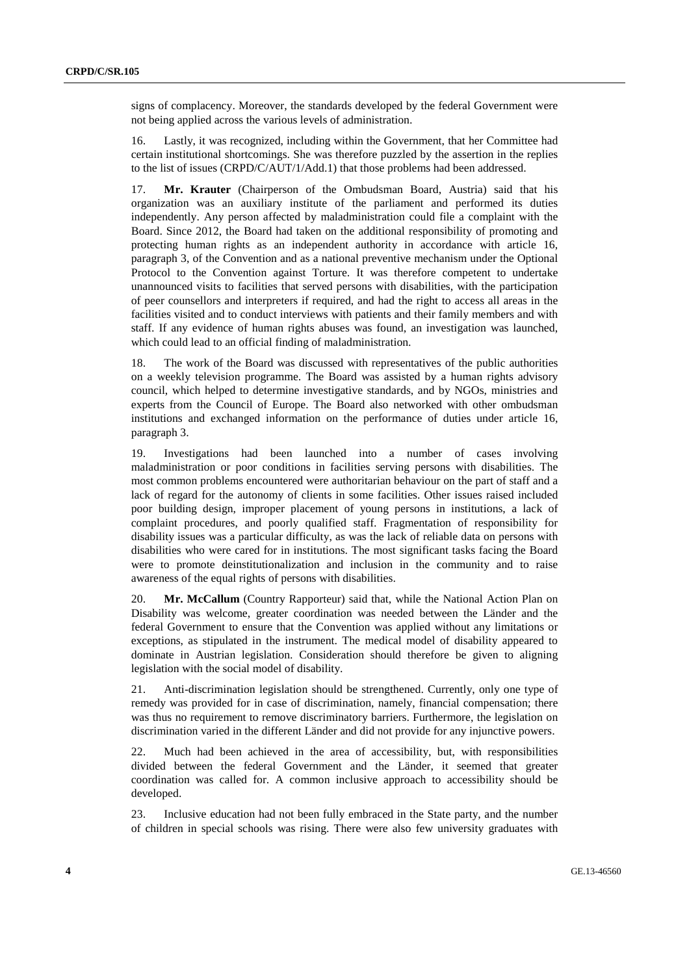signs of complacency. Moreover, the standards developed by the federal Government were not being applied across the various levels of administration.

16. Lastly, it was recognized, including within the Government, that her Committee had certain institutional shortcomings. She was therefore puzzled by the assertion in the replies to the list of issues (CRPD/C/AUT/1/Add.1) that those problems had been addressed.

17. **Mr. Krauter** (Chairperson of the Ombudsman Board, Austria) said that his organization was an auxiliary institute of the parliament and performed its duties independently. Any person affected by maladministration could file a complaint with the Board. Since 2012, the Board had taken on the additional responsibility of promoting and protecting human rights as an independent authority in accordance with article 16, paragraph 3, of the Convention and as a national preventive mechanism under the Optional Protocol to the Convention against Torture. It was therefore competent to undertake unannounced visits to facilities that served persons with disabilities, with the participation of peer counsellors and interpreters if required, and had the right to access all areas in the facilities visited and to conduct interviews with patients and their family members and with staff. If any evidence of human rights abuses was found, an investigation was launched, which could lead to an official finding of maladministration.

18. The work of the Board was discussed with representatives of the public authorities on a weekly television programme. The Board was assisted by a human rights advisory council, which helped to determine investigative standards, and by NGOs, ministries and experts from the Council of Europe. The Board also networked with other ombudsman institutions and exchanged information on the performance of duties under article 16, paragraph 3.

19. Investigations had been launched into a number of cases involving maladministration or poor conditions in facilities serving persons with disabilities. The most common problems encountered were authoritarian behaviour on the part of staff and a lack of regard for the autonomy of clients in some facilities. Other issues raised included poor building design, improper placement of young persons in institutions, a lack of complaint procedures, and poorly qualified staff. Fragmentation of responsibility for disability issues was a particular difficulty, as was the lack of reliable data on persons with disabilities who were cared for in institutions. The most significant tasks facing the Board were to promote deinstitutionalization and inclusion in the community and to raise awareness of the equal rights of persons with disabilities.

20. **Mr. McCallum** (Country Rapporteur) said that, while the National Action Plan on Disability was welcome, greater coordination was needed between the Länder and the federal Government to ensure that the Convention was applied without any limitations or exceptions, as stipulated in the instrument. The medical model of disability appeared to dominate in Austrian legislation. Consideration should therefore be given to aligning legislation with the social model of disability.

21. Anti-discrimination legislation should be strengthened. Currently, only one type of remedy was provided for in case of discrimination, namely, financial compensation; there was thus no requirement to remove discriminatory barriers. Furthermore, the legislation on discrimination varied in the different Länder and did not provide for any injunctive powers.

22. Much had been achieved in the area of accessibility, but, with responsibilities divided between the federal Government and the Länder, it seemed that greater coordination was called for. A common inclusive approach to accessibility should be developed.

23. Inclusive education had not been fully embraced in the State party, and the number of children in special schools was rising. There were also few university graduates with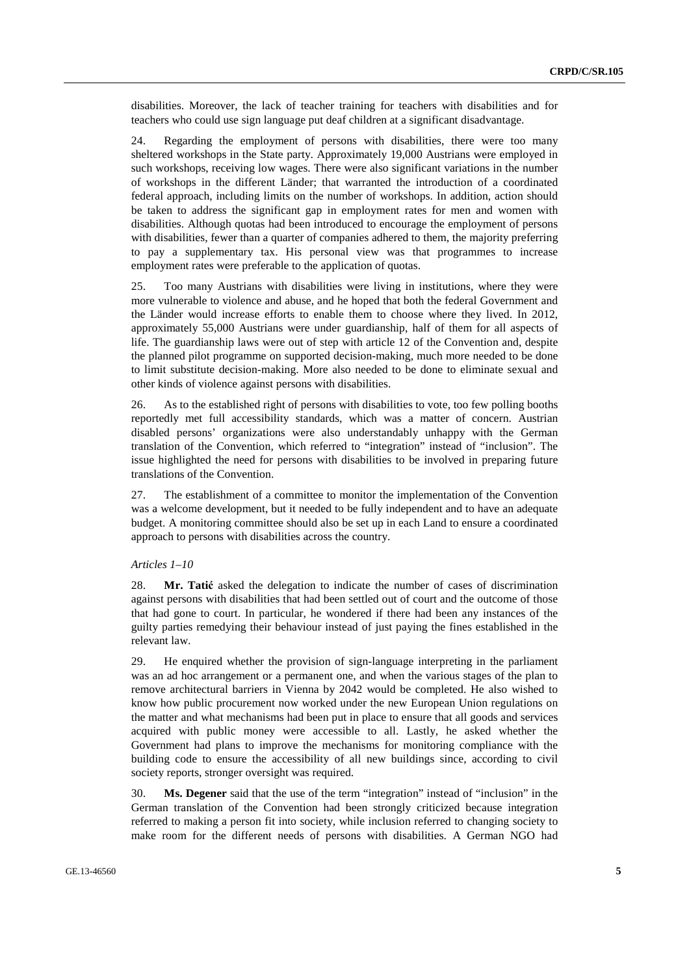disabilities. Moreover, the lack of teacher training for teachers with disabilities and for teachers who could use sign language put deaf children at a significant disadvantage.

24. Regarding the employment of persons with disabilities, there were too many sheltered workshops in the State party. Approximately 19,000 Austrians were employed in such workshops, receiving low wages. There were also significant variations in the number of workshops in the different Länder; that warranted the introduction of a coordinated federal approach, including limits on the number of workshops. In addition, action should be taken to address the significant gap in employment rates for men and women with disabilities. Although quotas had been introduced to encourage the employment of persons with disabilities, fewer than a quarter of companies adhered to them, the majority preferring to pay a supplementary tax. His personal view was that programmes to increase employment rates were preferable to the application of quotas.

25. Too many Austrians with disabilities were living in institutions, where they were more vulnerable to violence and abuse, and he hoped that both the federal Government and the Länder would increase efforts to enable them to choose where they lived. In 2012, approximately 55,000 Austrians were under guardianship, half of them for all aspects of life. The guardianship laws were out of step with article 12 of the Convention and, despite the planned pilot programme on supported decision-making, much more needed to be done to limit substitute decision-making. More also needed to be done to eliminate sexual and other kinds of violence against persons with disabilities.

26. As to the established right of persons with disabilities to vote, too few polling booths reportedly met full accessibility standards, which was a matter of concern. Austrian disabled persons' organizations were also understandably unhappy with the German translation of the Convention, which referred to "integration" instead of "inclusion". The issue highlighted the need for persons with disabilities to be involved in preparing future translations of the Convention.

27. The establishment of a committee to monitor the implementation of the Convention was a welcome development, but it needed to be fully independent and to have an adequate budget. A monitoring committee should also be set up in each Land to ensure a coordinated approach to persons with disabilities across the country.

### *Articles 1–10*

28. **Mr. Tatić** asked the delegation to indicate the number of cases of discrimination against persons with disabilities that had been settled out of court and the outcome of those that had gone to court. In particular, he wondered if there had been any instances of the guilty parties remedying their behaviour instead of just paying the fines established in the relevant law.

29. He enquired whether the provision of sign-language interpreting in the parliament was an ad hoc arrangement or a permanent one, and when the various stages of the plan to remove architectural barriers in Vienna by 2042 would be completed. He also wished to know how public procurement now worked under the new European Union regulations on the matter and what mechanisms had been put in place to ensure that all goods and services acquired with public money were accessible to all. Lastly, he asked whether the Government had plans to improve the mechanisms for monitoring compliance with the building code to ensure the accessibility of all new buildings since, according to civil society reports, stronger oversight was required.

30. **Ms. Degener** said that the use of the term "integration" instead of "inclusion" in the German translation of the Convention had been strongly criticized because integration referred to making a person fit into society, while inclusion referred to changing society to make room for the different needs of persons with disabilities. A German NGO had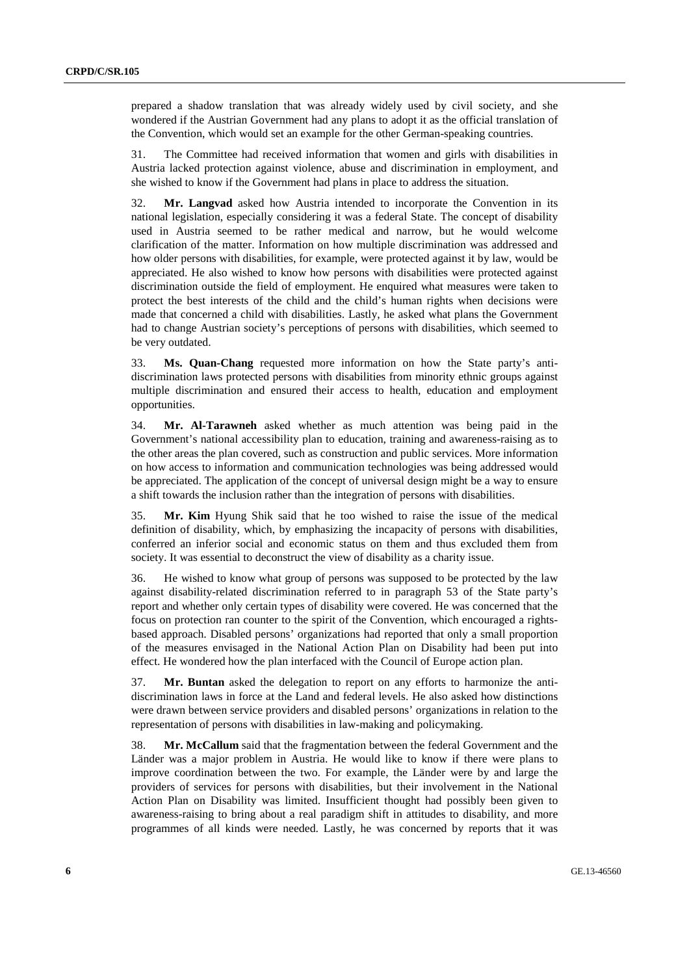prepared a shadow translation that was already widely used by civil society, and she wondered if the Austrian Government had any plans to adopt it as the official translation of the Convention, which would set an example for the other German-speaking countries.

31. The Committee had received information that women and girls with disabilities in Austria lacked protection against violence, abuse and discrimination in employment, and she wished to know if the Government had plans in place to address the situation.

32. **Mr. Langvad** asked how Austria intended to incorporate the Convention in its national legislation, especially considering it was a federal State. The concept of disability used in Austria seemed to be rather medical and narrow, but he would welcome clarification of the matter. Information on how multiple discrimination was addressed and how older persons with disabilities, for example, were protected against it by law, would be appreciated. He also wished to know how persons with disabilities were protected against discrimination outside the field of employment. He enquired what measures were taken to protect the best interests of the child and the child's human rights when decisions were made that concerned a child with disabilities. Lastly, he asked what plans the Government had to change Austrian society's perceptions of persons with disabilities, which seemed to be very outdated.

33. **Ms. Quan-Chang** requested more information on how the State party's antidiscrimination laws protected persons with disabilities from minority ethnic groups against multiple discrimination and ensured their access to health, education and employment opportunities.

34. **Mr. Al-Tarawneh** asked whether as much attention was being paid in the Government's national accessibility plan to education, training and awareness-raising as to the other areas the plan covered, such as construction and public services. More information on how access to information and communication technologies was being addressed would be appreciated. The application of the concept of universal design might be a way to ensure a shift towards the inclusion rather than the integration of persons with disabilities.

35. **Mr. Kim** Hyung Shik said that he too wished to raise the issue of the medical definition of disability, which, by emphasizing the incapacity of persons with disabilities, conferred an inferior social and economic status on them and thus excluded them from society. It was essential to deconstruct the view of disability as a charity issue.

36. He wished to know what group of persons was supposed to be protected by the law against disability-related discrimination referred to in paragraph 53 of the State party's report and whether only certain types of disability were covered. He was concerned that the focus on protection ran counter to the spirit of the Convention, which encouraged a rightsbased approach. Disabled persons' organizations had reported that only a small proportion of the measures envisaged in the National Action Plan on Disability had been put into effect. He wondered how the plan interfaced with the Council of Europe action plan.

37. **Mr. Buntan** asked the delegation to report on any efforts to harmonize the antidiscrimination laws in force at the Land and federal levels. He also asked how distinctions were drawn between service providers and disabled persons' organizations in relation to the representation of persons with disabilities in law-making and policymaking.

38. **Mr. McCallum** said that the fragmentation between the federal Government and the Länder was a major problem in Austria. He would like to know if there were plans to improve coordination between the two. For example, the Länder were by and large the providers of services for persons with disabilities, but their involvement in the National Action Plan on Disability was limited. Insufficient thought had possibly been given to awareness-raising to bring about a real paradigm shift in attitudes to disability, and more programmes of all kinds were needed. Lastly, he was concerned by reports that it was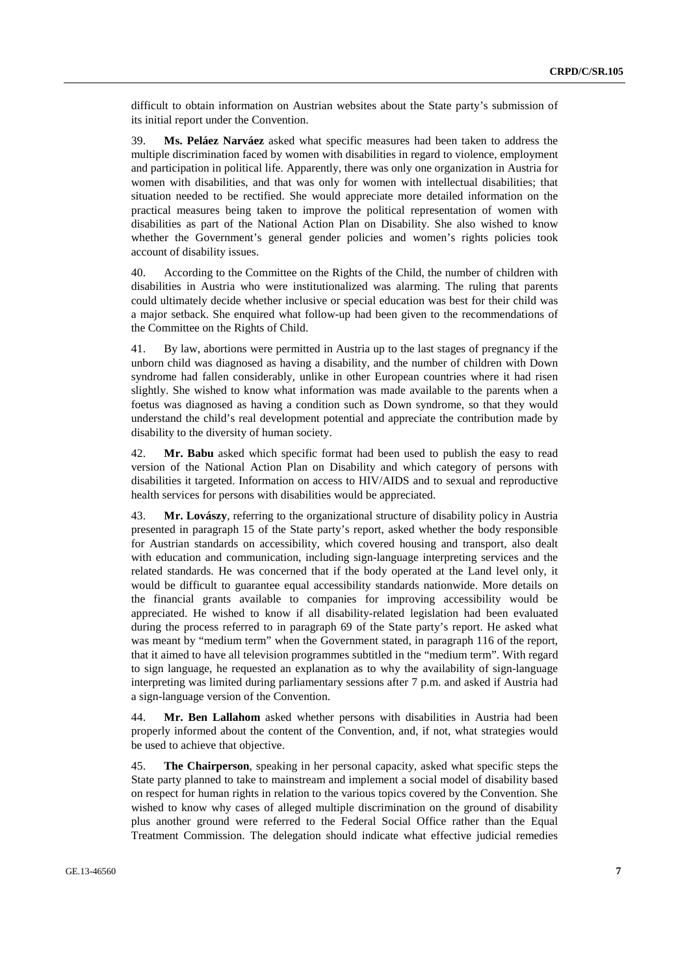difficult to obtain information on Austrian websites about the State party's submission of its initial report under the Convention.

39. **Ms. Peláez Narváez** asked what specific measures had been taken to address the multiple discrimination faced by women with disabilities in regard to violence, employment and participation in political life. Apparently, there was only one organization in Austria for women with disabilities, and that was only for women with intellectual disabilities; that situation needed to be rectified. She would appreciate more detailed information on the practical measures being taken to improve the political representation of women with disabilities as part of the National Action Plan on Disability. She also wished to know whether the Government's general gender policies and women's rights policies took account of disability issues.

40. According to the Committee on the Rights of the Child, the number of children with disabilities in Austria who were institutionalized was alarming. The ruling that parents could ultimately decide whether inclusive or special education was best for their child was a major setback. She enquired what follow-up had been given to the recommendations of the Committee on the Rights of Child.

41. By law, abortions were permitted in Austria up to the last stages of pregnancy if the unborn child was diagnosed as having a disability, and the number of children with Down syndrome had fallen considerably, unlike in other European countries where it had risen slightly. She wished to know what information was made available to the parents when a foetus was diagnosed as having a condition such as Down syndrome, so that they would understand the child's real development potential and appreciate the contribution made by disability to the diversity of human society.

42. **Mr. Babu** asked which specific format had been used to publish the easy to read version of the National Action Plan on Disability and which category of persons with disabilities it targeted. Information on access to HIV/AIDS and to sexual and reproductive health services for persons with disabilities would be appreciated.

43. **Mr. Lovászy**, referring to the organizational structure of disability policy in Austria presented in paragraph 15 of the State party's report, asked whether the body responsible for Austrian standards on accessibility, which covered housing and transport, also dealt with education and communication, including sign-language interpreting services and the related standards. He was concerned that if the body operated at the Land level only, it would be difficult to guarantee equal accessibility standards nationwide. More details on the financial grants available to companies for improving accessibility would be appreciated. He wished to know if all disability-related legislation had been evaluated during the process referred to in paragraph 69 of the State party's report. He asked what was meant by "medium term" when the Government stated, in paragraph 116 of the report, that it aimed to have all television programmes subtitled in the "medium term". With regard to sign language, he requested an explanation as to why the availability of sign-language interpreting was limited during parliamentary sessions after 7 p.m. and asked if Austria had a sign-language version of the Convention.

44. **Mr. Ben Lallahom** asked whether persons with disabilities in Austria had been properly informed about the content of the Convention, and, if not, what strategies would be used to achieve that objective.

45. **The Chairperson**, speaking in her personal capacity, asked what specific steps the State party planned to take to mainstream and implement a social model of disability based on respect for human rights in relation to the various topics covered by the Convention. She wished to know why cases of alleged multiple discrimination on the ground of disability plus another ground were referred to the Federal Social Office rather than the Equal Treatment Commission. The delegation should indicate what effective judicial remedies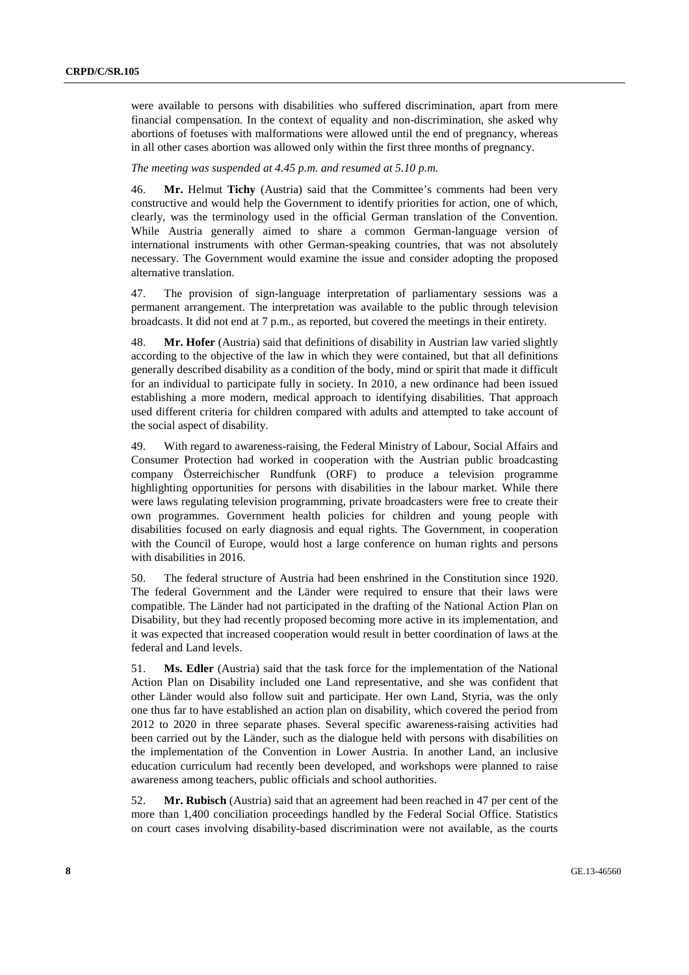were available to persons with disabilities who suffered discrimination, apart from mere financial compensation. In the context of equality and non-discrimination, she asked why abortions of foetuses with malformations were allowed until the end of pregnancy, whereas in all other cases abortion was allowed only within the first three months of pregnancy.

#### *The meeting was suspended at 4.45 p.m. and resumed at 5.10 p.m.*

46. **Mr.** Helmut **Tichy** (Austria) said that the Committee's comments had been very constructive and would help the Government to identify priorities for action, one of which, clearly, was the terminology used in the official German translation of the Convention. While Austria generally aimed to share a common German-language version of international instruments with other German-speaking countries, that was not absolutely necessary. The Government would examine the issue and consider adopting the proposed alternative translation.

47. The provision of sign-language interpretation of parliamentary sessions was a permanent arrangement. The interpretation was available to the public through television broadcasts. It did not end at 7 p.m., as reported, but covered the meetings in their entirety.

48. **Mr. Hofer** (Austria) said that definitions of disability in Austrian law varied slightly according to the objective of the law in which they were contained, but that all definitions generally described disability as a condition of the body, mind or spirit that made it difficult for an individual to participate fully in society. In 2010, a new ordinance had been issued establishing a more modern, medical approach to identifying disabilities. That approach used different criteria for children compared with adults and attempted to take account of the social aspect of disability.

49. With regard to awareness-raising, the Federal Ministry of Labour, Social Affairs and Consumer Protection had worked in cooperation with the Austrian public broadcasting company Österreichischer Rundfunk (ORF) to produce a television programme highlighting opportunities for persons with disabilities in the labour market. While there were laws regulating television programming, private broadcasters were free to create their own programmes. Government health policies for children and young people with disabilities focused on early diagnosis and equal rights. The Government, in cooperation with the Council of Europe, would host a large conference on human rights and persons with disabilities in 2016.

50. The federal structure of Austria had been enshrined in the Constitution since 1920. The federal Government and the Länder were required to ensure that their laws were compatible. The Länder had not participated in the drafting of the National Action Plan on Disability, but they had recently proposed becoming more active in its implementation, and it was expected that increased cooperation would result in better coordination of laws at the federal and Land levels.

51. **Ms. Edler** (Austria) said that the task force for the implementation of the National Action Plan on Disability included one Land representative, and she was confident that other Länder would also follow suit and participate. Her own Land, Styria, was the only one thus far to have established an action plan on disability, which covered the period from 2012 to 2020 in three separate phases. Several specific awareness-raising activities had been carried out by the Länder, such as the dialogue held with persons with disabilities on the implementation of the Convention in Lower Austria. In another Land, an inclusive education curriculum had recently been developed, and workshops were planned to raise awareness among teachers, public officials and school authorities.

52. **Mr. Rubisch** (Austria) said that an agreement had been reached in 47 per cent of the more than 1,400 conciliation proceedings handled by the Federal Social Office. Statistics on court cases involving disability-based discrimination were not available, as the courts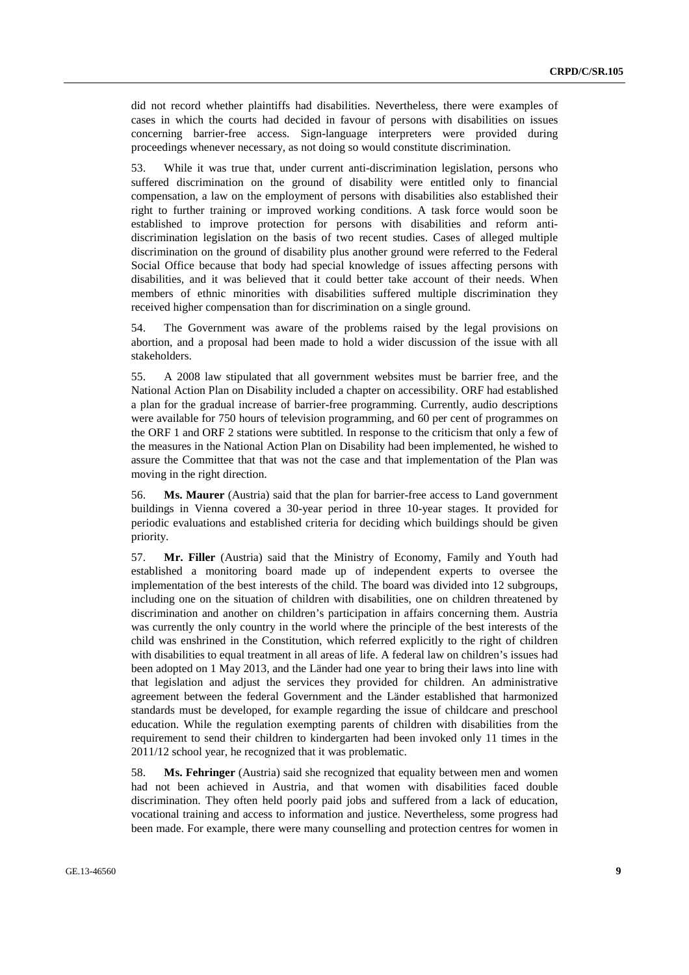did not record whether plaintiffs had disabilities. Nevertheless, there were examples of cases in which the courts had decided in favour of persons with disabilities on issues concerning barrier-free access. Sign-language interpreters were provided during proceedings whenever necessary, as not doing so would constitute discrimination.

53. While it was true that, under current anti-discrimination legislation, persons who suffered discrimination on the ground of disability were entitled only to financial compensation, a law on the employment of persons with disabilities also established their right to further training or improved working conditions. A task force would soon be established to improve protection for persons with disabilities and reform antidiscrimination legislation on the basis of two recent studies. Cases of alleged multiple discrimination on the ground of disability plus another ground were referred to the Federal Social Office because that body had special knowledge of issues affecting persons with disabilities, and it was believed that it could better take account of their needs. When members of ethnic minorities with disabilities suffered multiple discrimination they received higher compensation than for discrimination on a single ground.

54. The Government was aware of the problems raised by the legal provisions on abortion, and a proposal had been made to hold a wider discussion of the issue with all stakeholders.

55. A 2008 law stipulated that all government websites must be barrier free, and the National Action Plan on Disability included a chapter on accessibility. ORF had established a plan for the gradual increase of barrier-free programming. Currently, audio descriptions were available for 750 hours of television programming, and 60 per cent of programmes on the ORF 1 and ORF 2 stations were subtitled. In response to the criticism that only a few of the measures in the National Action Plan on Disability had been implemented, he wished to assure the Committee that that was not the case and that implementation of the Plan was moving in the right direction.

56. **Ms. Maurer** (Austria) said that the plan for barrier-free access to Land government buildings in Vienna covered a 30-year period in three 10-year stages. It provided for periodic evaluations and established criteria for deciding which buildings should be given priority.

57. **Mr. Filler** (Austria) said that the Ministry of Economy, Family and Youth had established a monitoring board made up of independent experts to oversee the implementation of the best interests of the child. The board was divided into 12 subgroups, including one on the situation of children with disabilities, one on children threatened by discrimination and another on children's participation in affairs concerning them. Austria was currently the only country in the world where the principle of the best interests of the child was enshrined in the Constitution, which referred explicitly to the right of children with disabilities to equal treatment in all areas of life. A federal law on children's issues had been adopted on 1 May 2013, and the Länder had one year to bring their laws into line with that legislation and adjust the services they provided for children. An administrative agreement between the federal Government and the Länder established that harmonized standards must be developed, for example regarding the issue of childcare and preschool education. While the regulation exempting parents of children with disabilities from the requirement to send their children to kindergarten had been invoked only 11 times in the 2011/12 school year, he recognized that it was problematic.

58. **Ms. Fehringer** (Austria) said she recognized that equality between men and women had not been achieved in Austria, and that women with disabilities faced double discrimination. They often held poorly paid jobs and suffered from a lack of education, vocational training and access to information and justice. Nevertheless, some progress had been made. For example, there were many counselling and protection centres for women in